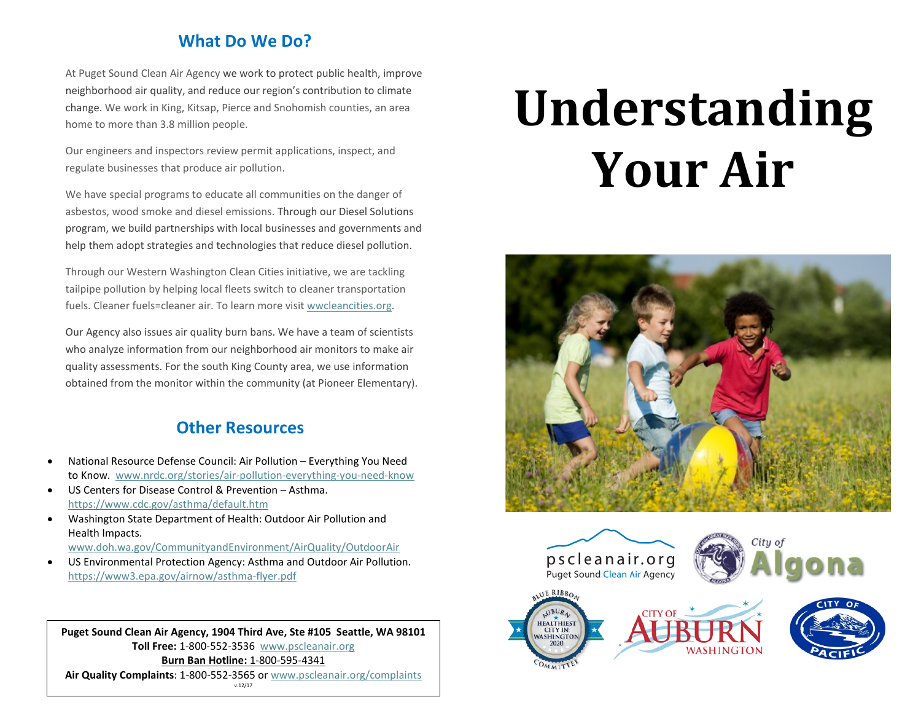## **What Do We Do?**

At Puget Sound Clean Air Agency we work to protect public health, improve neighborhood air quality, and reduce our region's contribution to climate change. We work in King, Kitsap, Pierce and Snohomish counties, an area home to more than 3.8 million people.

Our engineers and inspectors review permit applications, inspect, and regulate businesses that produce air pollution.

We have special programs to educate all communities on the danger of asbestos, wood smoke and diesel emissions. Through our Diesel Solutions program, we build partnerships with local businesses and governments and help them adopt strategies and technologies that reduce diesel pollution.

Through our Western Washington Clean Cities initiative, we are tackling tailpipe pollution by helping local fleets switch to cleaner transportation fuels. Cleaner fuels=cleaner air. To learn more visit [wwcleancities.org.](http://wwcleancities.org/)

Our Agency also issues air quality burn bans. We have a team of scientists who analyze information from our neighborhood air monitors to make air quality assessments. For the south King County area, we use information obtained from the monitor within the community (at Pioneer Elementary).

# **Other Resources**

- National Resource Defense Council: Air Pollution Everything You Need to Know. [www.nrdc.org/stories/air-pollution-everything-you-need-know](http://www.nrdc.org/stories/air-pollution-everything-you-need-know)
- US Centers for Disease Control & Prevention Asthma. <https://www.cdc.gov/asthma/default.htm>
- Washington State Department of Health: Outdoor Air Pollution and Health Impacts. [www.doh.wa.gov/CommunityandEnvironment/AirQuality/OutdoorAir](http://www.doh.wa.gov/CommunityandEnvironment/AirQuality/OutdoorAir)
- US Environmental Protection Agency: Asthma and Outdoor Air Pollution. <https://www3.epa.gov/airnow/asthma-flyer.pdf>

**Puget Sound Clean Air Agency, 1904 Third Ave, Ste #105 Seattle, WA 98101 Toll Free:** 1-800-552-3536[www.pscleanair.org](http://www.pscleanair.org/) **Burn Ban Hotline:** 1-800-595-4341 **Air Quality Complaints**: 1-800-552-3565 or [www.pscleanair.org/complaints](http://www.pscleanair.org/complaints)

# **Understanding Your Air**









v.12/17